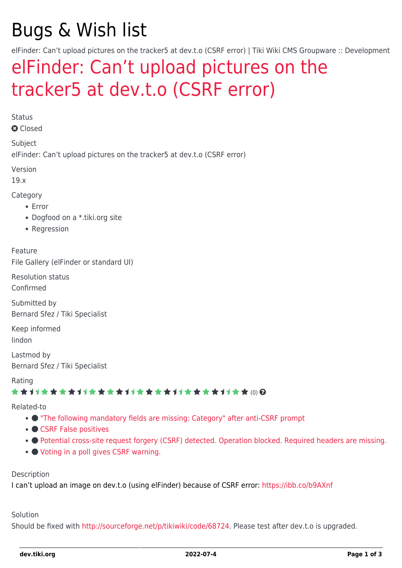# Bugs & Wish list

elFinder: Can't upload pictures on the tracker5 at dev.t.o (CSRF error) | Tiki Wiki CMS Groupware :: Development

# [elFinder: Can't upload pictures on the](https://dev.tiki.org/item6900-elFinder-Can-t-upload-pictures-on-the-tracker5-at-dev-t-o-CSRF-error) [tracker5 at dev.t.o \(CSRF error\)](https://dev.tiki.org/item6900-elFinder-Can-t-upload-pictures-on-the-tracker5-at-dev-t-o-CSRF-error)

Status

**a** Closed

Subject

elFinder: Can't upload pictures on the tracker5 at dev.t.o (CSRF error)

Version

19.x

Category

- Error
- Dogfood on a \*.tiki.org site
- Regression

Feature File Gallery (elFinder or standard UI)

Resolution status

Confirmed

Submitted by Bernard Sfez / Tiki Specialist

Keep informed lindon

Lastmod by Bernard Sfez / Tiki Specialist

Rating

#### \*\*\*\*\*\*\*\*\*\*\*\*\*\*\*\*\*\*\*\*\*\*\*\*\*\*\*\*\*\*

#### Related-to

- ["The following mandatory fields are missing: Category" after anti-CSRF prompt](https://dev.tiki.org/item6926--The-following-mandatory-fields-are-missing-Category-after-anti-CSRF-prompt)
- [CSRF False positives](https://dev.tiki.org/item7133-CSRF-False-positives)
- **[Potential cross-site request forgery \(CSRF\) detected. Operation blocked. Required headers are missing.](https://dev.tiki.org/item7633-Potential-cross-site-request-forgery-CSRF-detected-Operation-blocked-Required-headers-are-missing)**
- [Voting in a poll gives CSRF warning.](https://dev.tiki.org/item7350-Voting-in-a-poll-gives-CSRF-warning)

Description

I can't upload an image on dev.t.o (using elFinder) because of CSRF error:<https://ibb.co/b9AXnf>

#### Solution

Should be fixed with [http://sourceforge.net/p/tikiwiki/code/68724.](http://sourceforge.net/p/tikiwiki/code/68724) Please test after dev.t.o is upgraded.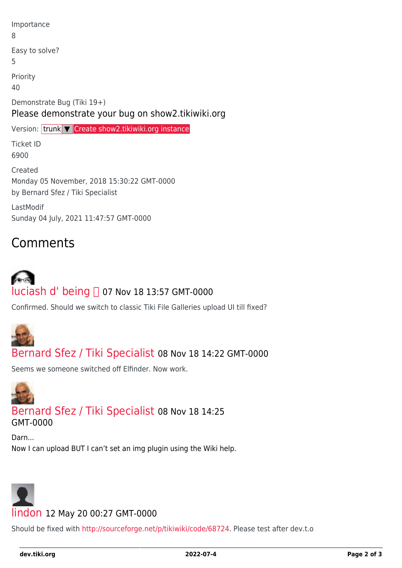| Importance<br>8                                                                            |  |
|--------------------------------------------------------------------------------------------|--|
| Easy to solve?<br>5                                                                        |  |
| Priority<br>40                                                                             |  |
| Demonstrate Bug (Tiki 19+)<br>Please demonstrate your bug on show2.tikiwiki.org            |  |
| Version: trunk V Create show2.tikiwiki.org instance                                        |  |
| <b>Ticket ID</b>                                                                           |  |
| 6900                                                                                       |  |
| Created<br>Monday 05 November, 2018 15:30:22 GMT-0000<br>by Bernard Sfez / Tiki Specialist |  |

## **Comments**

# [luciash d' being](https://dev.tiki.org/user199)  07 Nov 18 13:57 GMT-0000

Confirmed. Should we switch to classic Tiki File Galleries upload UI till fixed?



#### [Bernard Sfez / Tiki Specialist](https://dev.tiki.org/user11581) 08 Nov 18 14:22 GMT-0000

Seems we someone switched off Elfinder. Now work.



### [Bernard Sfez / Tiki Specialist](https://dev.tiki.org/user11581) 08 Nov 18 14:25

GMT-0000

Darn...

Now I can upload BUT I can't set an img plugin using the Wiki help.



Should be fixed with [http://sourceforge.net/p/tikiwiki/code/68724.](http://sourceforge.net/p/tikiwiki/code/68724) Please test after dev.t.o